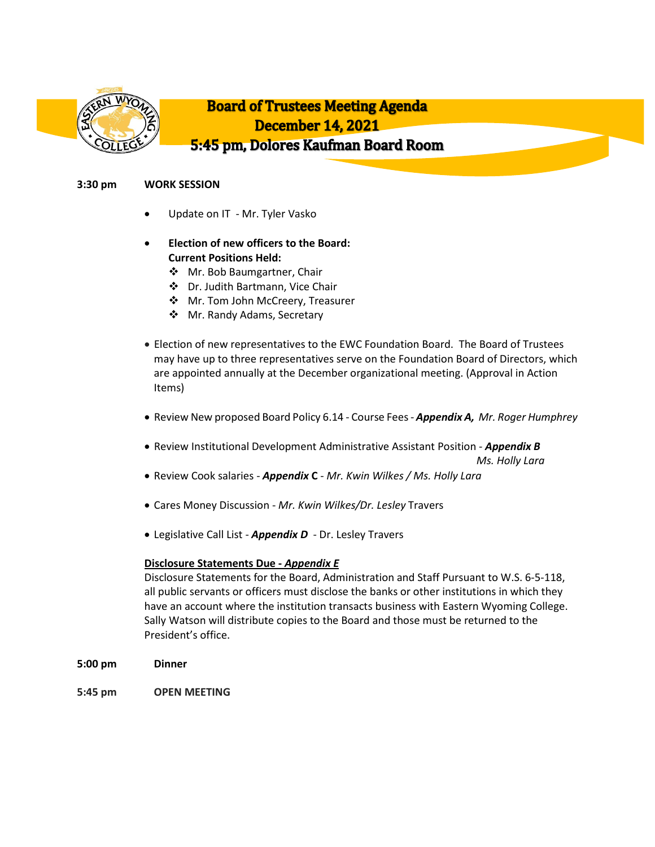

# **3:30 pm WORK SESSION**

- Update on IT Mr. Tyler Vasko
- **Election of new officers to the Board: Current Positions Held:**
	- ❖ Mr. Bob Baumgartner, Chair
	- Dr. Judith Bartmann, Vice Chair
	- Mr. Tom John McCreery, Treasurer
	- Mr. Randy Adams, Secretary
- Election of new representatives to the EWC Foundation Board. The Board of Trustees may have up to three representatives serve on the Foundation Board of Directors, which are appointed annually at the December organizational meeting. (Approval in Action Items)
- Review New proposed Board Policy 6.14 Course Fees- *Appendix A, Mr. Roger Humphrey*
- Review Institutional Development Administrative Assistant Position *Appendix B Ms. Holly Lara*
- Review Cook salaries *Appendix* **C** *Mr. Kwin Wilkes / Ms. Holly Lara*
- Cares Money Discussion *Mr. Kwin Wilkes/Dr. Lesley* Travers
- Legislative Call List *Appendix D* Dr. Lesley Travers

## **Disclosure Statements Due -** *Appendix E*

Disclosure Statements for the Board, Administration and Staff Pursuant to W.S. 6-5-118, all public servants or officers must disclose the banks or other institutions in which they have an account where the institution transacts business with Eastern Wyoming College. Sally Watson will distribute copies to the Board and those must be returned to the President's office.

- **5:00 pm Dinner**
- **5:45 pm OPEN MEETING**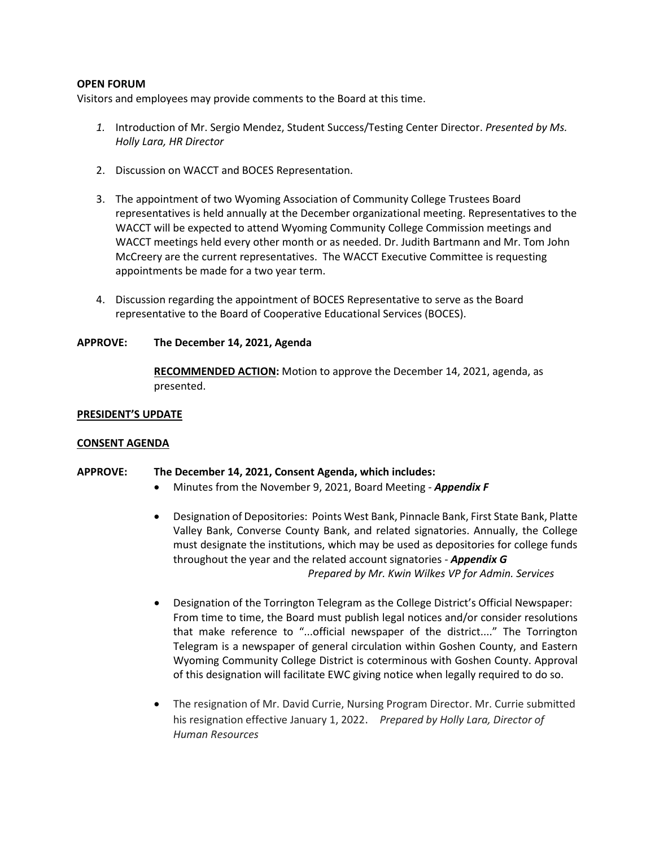## **OPEN FORUM**

Visitors and employees may provide comments to the Board at this time.

- *1.* Introduction of Mr. Sergio Mendez, Student Success/Testing Center Director. *Presented by Ms. Holly Lara, HR Director*
- 2. Discussion on WACCT and BOCES Representation.
- 3. The appointment of two Wyoming Association of Community College Trustees Board representatives is held annually at the December organizational meeting. Representatives to the WACCT will be expected to attend Wyoming Community College Commission meetings and WACCT meetings held every other month or as needed. Dr. Judith Bartmann and Mr. Tom John McCreery are the current representatives. The WACCT Executive Committee is requesting appointments be made for a two year term.
- 4. Discussion regarding the appointment of BOCES Representative to serve as the Board representative to the Board of Cooperative Educational Services (BOCES).

## **APPROVE: The December 14, 2021, Agenda**

**RECOMMENDED ACTION:** Motion to approve the December 14, 2021, agenda, as presented.

## **PRESIDENT'S UPDATE**

## **CONSENT AGENDA**

# **APPROVE: The December 14, 2021, Consent Agenda, which includes:**

- Minutes from the November 9, 2021, Board Meeting *Appendix F*
- Designation of Depositories: Points West Bank, Pinnacle Bank, First State Bank, Platte Valley Bank, Converse County Bank, and related signatories. Annually, the College must designate the institutions, which may be used as depositories for college funds throughout the year and the related account signatories - *Appendix G Prepared by Mr. Kwin Wilkes VP for Admin. Services*
- Designation of the Torrington Telegram as the College District's Official Newspaper: From time to time, the Board must publish legal notices and/or consider resolutions that make reference to "...official newspaper of the district...." The Torrington Telegram is a newspaper of general circulation within Goshen County, and Eastern Wyoming Community College District is coterminous with Goshen County. Approval of this designation will facilitate EWC giving notice when legally required to do so.
- The resignation of Mr. David Currie, Nursing Program Director. Mr. Currie submitted his resignation effective January 1, 2022. *Prepared by Holly Lara, Director of Human Resources*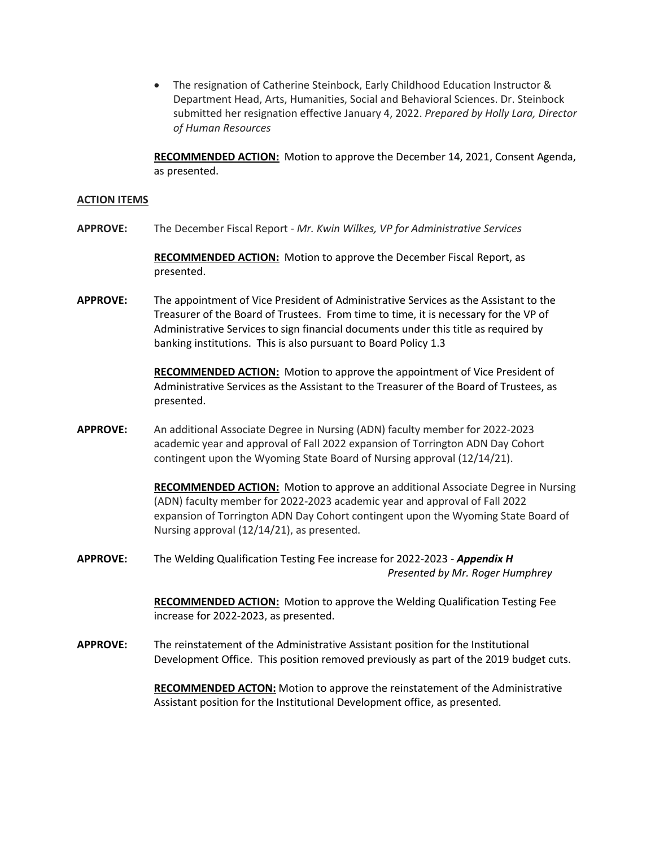• The resignation of Catherine Steinbock, Early Childhood Education Instructor & Department Head, Arts, Humanities, Social and Behavioral Sciences. Dr. Steinbock submitted her resignation effective January 4, 2022. *Prepared by Holly Lara, Director of Human Resources*

**RECOMMENDED ACTION:** Motion to approve the December 14, 2021, Consent Agenda, as presented.

#### **ACTION ITEMS**

**APPROVE:** The December Fiscal Report - *Mr. Kwin Wilkes, VP for Administrative Services*

**RECOMMENDED ACTION:** Motion to approve the December Fiscal Report, as presented.

**APPROVE:** The appointment of Vice President of Administrative Services as the Assistant to the Treasurer of the Board of Trustees. From time to time, it is necessary for the VP of Administrative Services to sign financial documents under this title as required by banking institutions. This is also pursuant to Board Policy 1.3

> **RECOMMENDED ACTION:** Motion to approve the appointment of Vice President of Administrative Services as the Assistant to the Treasurer of the Board of Trustees, as presented.

**APPROVE:** An additional Associate Degree in Nursing (ADN) faculty member for 2022-2023 academic year and approval of Fall 2022 expansion of Torrington ADN Day Cohort contingent upon the Wyoming State Board of Nursing approval (12/14/21).

> **RECOMMENDED ACTION:** Motion to approve an additional Associate Degree in Nursing (ADN) faculty member for 2022-2023 academic year and approval of Fall 2022 expansion of Torrington ADN Day Cohort contingent upon the Wyoming State Board of Nursing approval (12/14/21), as presented.

**APPROVE:** The Welding Qualification Testing Fee increase for 2022-2023 - *Appendix H Presented by Mr. Roger Humphrey*

> **RECOMMENDED ACTION:** Motion to approve the Welding Qualification Testing Fee increase for 2022-2023, as presented.

**APPROVE:** The reinstatement of the Administrative Assistant position for the Institutional Development Office. This position removed previously as part of the 2019 budget cuts.

> **RECOMMENDED ACTON:** Motion to approve the reinstatement of the Administrative Assistant position for the Institutional Development office, as presented.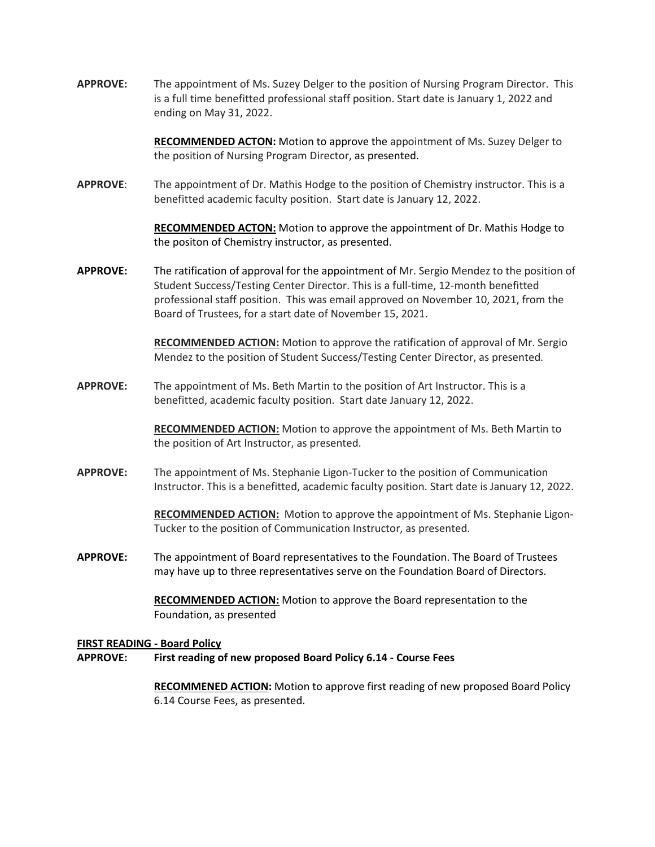**APPROVE:** The appointment of Ms. Suzey Delger to the position of Nursing Program Director. This is a full time benefitted professional staff position. Start date is January 1, 2022 and ending on May 31, 2022.

> **RECOMMENDED ACTON:** Motion to approve the appointment of Ms. Suzey Delger to the position of Nursing Program Director, as presented.

**APPROVE**: The appointment of Dr. Mathis Hodge to the position of Chemistry instructor. This is a benefitted academic faculty position. Start date is January 12, 2022.

> **RECOMMENDED ACTON:** Motion to approve the appointment of Dr. Mathis Hodge to the positon of Chemistry instructor, as presented.

**APPROVE:** The ratification of approval for the appointment of Mr. Sergio Mendez to the position of Student Success/Testing Center Director. This is a full-time, 12-month benefitted professional staff position. This was email approved on November 10, 2021, from the Board of Trustees, for a start date of November 15, 2021.

> **RECOMMENDED ACTION:** Motion to approve the ratification of approval of Mr. Sergio Mendez to the position of Student Success/Testing Center Director, as presented.

**APPROVE:** The appointment of Ms. Beth Martin to the position of Art Instructor. This is a benefitted, academic faculty position. Start date January 12, 2022.

> **RECOMMENDED ACTION:** Motion to approve the appointment of Ms. Beth Martin to the position of Art Instructor, as presented.

**APPROVE:** The appointment of Ms. Stephanie Ligon-Tucker to the position of Communication Instructor. This is a benefitted, academic faculty position. Start date is January 12, 2022.

> **RECOMMENDED ACTION:** Motion to approve the appointment of Ms. Stephanie Ligon-Tucker to the position of Communication Instructor, as presented.

**APPROVE:** The appointment of Board representatives to the Foundation. The Board of Trustees may have up to three representatives serve on the Foundation Board of Directors.

> **RECOMMENDED ACTION:** Motion to approve the Board representation to the Foundation, as presented

## **FIRST READING - Board Policy**

**APPROVE: First reading of new proposed Board Policy 6.14 - Course Fees**

**RECOMMENED ACTION:** Motion to approve first reading of new proposed Board Policy 6.14 Course Fees, as presented.